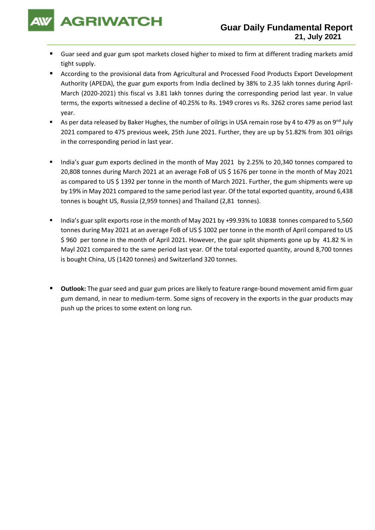

- Guar seed and guar gum spot markets closed higher to mixed to firm at different trading markets amid tight supply.
- According to the provisional data from Agricultural and Processed Food Products Export Development Authority (APEDA), the guar gum exports from India declined by 38% to 2.35 lakh tonnes during April-March (2020-2021) this fiscal vs 3.81 lakh tonnes during the corresponding period last year. In value terms, the exports witnessed a decline of 40.25% to Rs. 1949 crores vs Rs. 3262 crores same period last year.
- As per data released by Baker Hughes, the number of oilrigs in USA remain rose by 4 to 479 as on 9<sup>nd</sup> July 2021 compared to 475 previous week, 25th June 2021. Further, they are up by 51.82% from 301 oilrigs in the corresponding period in last year.
- India's guar gum exports declined in the month of May 2021 by 2.25% to 20,340 tonnes compared to 20,808 tonnes during March 2021 at an average FoB of US \$ 1676 per tonne in the month of May 2021 as compared to US \$ 1392 per tonne in the month of March 2021. Further, the gum shipments were up by 19% in May 2021 compared to the same period last year. Of the total exported quantity, around 6,438 tonnes is bought US, Russia (2,959 tonnes) and Thailand (2,81 tonnes).
- India's guar split exports rose in the month of May 2021 by +99.93% to 10838 tonnes compared to 5,560 tonnes during May 2021 at an average FoB of US \$ 1002 per tonne in the month of April compared to US \$ 960 per tonne in the month of April 2021. However, the guar split shipments gone up by 41.82 % in Mayl 2021 compared to the same period last year. Of the total exported quantity, around 8,700 tonnes is bought China, US (1420 tonnes) and Switzerland 320 tonnes.
- **Outlook:** The guar seed and guar gum prices are likely to feature range-bound movement amid firm guar gum demand, in near to medium-term. Some signs of recovery in the exports in the guar products may push up the prices to some extent on long run.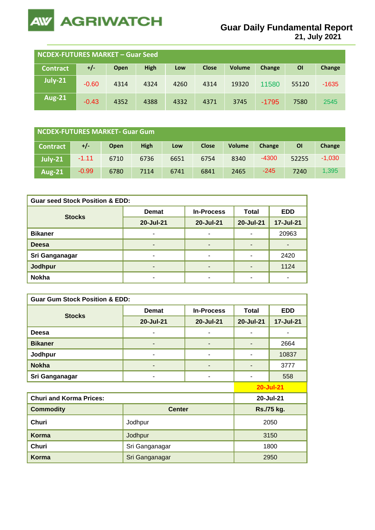

**21, July 2021**

| NCDEX-FUTURES MARKET – Guar Seed |         |      |             |      |              |               |         |       |         |
|----------------------------------|---------|------|-------------|------|--------------|---------------|---------|-------|---------|
| <b>Contract</b>                  | $+/-$   | Open | <b>High</b> | Low  | <b>Close</b> | <b>Volume</b> | Change  | ΟI    | Change  |
| July-21                          | $-0.60$ | 4314 | 4324        | 4260 | 4314         | 19320         | 11580   | 55120 | $-1635$ |
| <b>Aug-21</b>                    | $-0.43$ | 4352 | 4388        | 4332 | 4371         | 3745          | $-1795$ | 7580  | 2545    |

| NCDEX-FUTURES MARKET- Guar Gum |         |             |             |      |              |               |               |       |          |
|--------------------------------|---------|-------------|-------------|------|--------------|---------------|---------------|-------|----------|
| <b>Contract</b>                | $+/-$   | <b>Open</b> | <b>High</b> | Low  | <b>Close</b> | <b>Volume</b> | <b>Change</b> | ΟI    | Change   |
| $July-21$                      | $-1.11$ | 6710        | 6736        | 6651 | 6754         | 8340          | $-4300$       | 52255 | $-1,030$ |
| <b>Aug-21</b>                  | $-0.99$ | 6780        | 7114        | 6741 | 6841         | 2465          | $-245$        | 7240  | 1,395    |

| <b>Guar seed Stock Position &amp; EDD:</b> |              |                   |              |            |  |  |  |
|--------------------------------------------|--------------|-------------------|--------------|------------|--|--|--|
| <b>Stocks</b>                              | <b>Demat</b> | <b>In-Process</b> | <b>Total</b> | <b>EDD</b> |  |  |  |
|                                            | 20-Jul-21    | 20-Jul-21         | 20-Jul-21    | 17-Jul-21  |  |  |  |
| <b>Bikaner</b>                             |              | ۰                 |              | 20963      |  |  |  |
| <b>Deesa</b>                               |              | ٠                 |              | ۰          |  |  |  |
| Sri Ganganagar                             | ۰            | ۰                 |              | 2420       |  |  |  |
| Jodhpur                                    |              | ٠                 |              | 1124       |  |  |  |
| <b>Nokha</b>                               | -            | ٠                 | ۰            | ۰          |  |  |  |

| <b>Guar Gum Stock Position &amp; EDD:</b> |                |                   |              |            |  |
|-------------------------------------------|----------------|-------------------|--------------|------------|--|
|                                           | <b>Demat</b>   | <b>In-Process</b> | <b>Total</b> | <b>EDD</b> |  |
| <b>Stocks</b>                             | 20-Jul-21      | 20-Jul-21         | 20-Jul-21    | 17-Jul-21  |  |
| Deesa                                     |                | -                 |              |            |  |
| <b>Bikaner</b>                            |                | ۰                 |              | 2664       |  |
| Jodhpur                                   |                | ۰                 |              | 10837      |  |
| <b>Nokha</b>                              |                | -                 |              | 3777       |  |
| Sri Ganganagar                            | ۰              | ۰                 |              | 558        |  |
|                                           |                | <b>20-Jul-21</b>  |              |            |  |
| <b>Churi and Korma Prices:</b>            |                |                   |              | 20-Jul-21  |  |
| <b>Commodity</b>                          | <b>Center</b>  |                   | Rs./75 kg.   |            |  |
| <b>Churi</b>                              | Jodhpur        |                   | 2050         |            |  |
| Korma                                     | Jodhpur        | 3150              |              |            |  |
| Churi                                     | Sri Ganganagar | 1800              |              |            |  |
| <b>Korma</b>                              | Sri Ganganagar |                   | 2950         |            |  |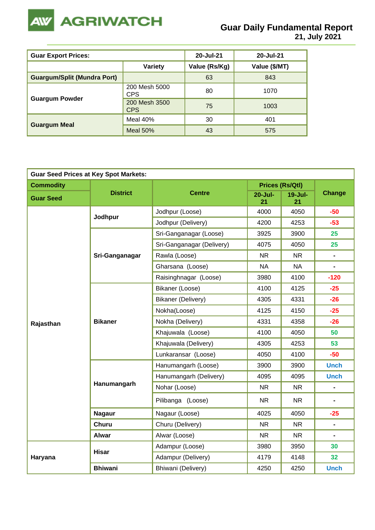

| <b>Guar Export Prices:</b>         | 20-Jul-21                   | 20-Jul-21     |               |
|------------------------------------|-----------------------------|---------------|---------------|
|                                    | <b>Variety</b>              | Value (Rs/Kg) | Value (\$/MT) |
| <b>Guargum/Split (Mundra Port)</b> |                             | 63            | 843           |
|                                    | 200 Mesh 5000<br><b>CPS</b> | 80            | 1070          |
| <b>Guargum Powder</b>              | 200 Mesh 3500<br><b>CPS</b> | 75            | 1003          |
|                                    | Meal 40%                    | 30            | 401           |
| <b>Guargum Meal</b>                | Meal $50%$                  | 43            | 575           |

| <b>Guar Seed Prices at Key Spot Markets:</b> |                 |                           |                   |                        |                |
|----------------------------------------------|-----------------|---------------------------|-------------------|------------------------|----------------|
| <b>Commodity</b>                             |                 |                           |                   | <b>Prices (Rs/Qtl)</b> |                |
| <b>Guar Seed</b>                             | <b>District</b> | <b>Centre</b>             | $20 -$ Jul-<br>21 | $19 -$ Jul-<br>21      | <b>Change</b>  |
|                                              | Jodhpur         | Jodhpur (Loose)           | 4000              | 4050                   | $-50$          |
|                                              |                 | Jodhpur (Delivery)        | 4200              | 4253                   | $-53$          |
|                                              |                 | Sri-Ganganagar (Loose)    | 3925              | 3900                   | 25             |
|                                              |                 | Sri-Ganganagar (Delivery) | 4075              | 4050                   | 25             |
|                                              | Sri-Ganganagar  | Rawla (Loose)             | <b>NR</b>         | <b>NR</b>              | $\blacksquare$ |
|                                              |                 | Gharsana (Loose)          | <b>NA</b>         | <b>NA</b>              | $\blacksquare$ |
|                                              |                 | Raisinghnagar (Loose)     | 3980              | 4100                   | $-120$         |
|                                              |                 | Bikaner (Loose)           | 4100              | 4125                   | $-25$          |
|                                              |                 | <b>Bikaner (Delivery)</b> | 4305              | 4331                   | $-26$          |
|                                              |                 | Nokha(Loose)              | 4125              | 4150                   | $-25$          |
| Rajasthan                                    | <b>Bikaner</b>  | Nokha (Delivery)          | 4331              | 4358                   | $-26$          |
|                                              |                 | Khajuwala (Loose)         | 4100              | 4050                   | 50             |
|                                              |                 | Khajuwala (Delivery)      | 4305              | 4253                   | 53             |
|                                              |                 | Lunkaransar (Loose)       | 4050              | 4100                   | $-50$          |
|                                              |                 | Hanumangarh (Loose)       | 3900              | 3900                   | <b>Unch</b>    |
|                                              |                 | Hanumangarh (Delivery)    | 4095              | 4095                   | <b>Unch</b>    |
|                                              | Hanumangarh     | Nohar (Loose)             | <b>NR</b>         | <b>NR</b>              | $\blacksquare$ |
|                                              |                 | Pilibanga (Loose)         | <b>NR</b>         | NR.                    |                |
|                                              | <b>Nagaur</b>   | Nagaur (Loose)            | 4025              | 4050                   | $-25$          |
|                                              | <b>Churu</b>    | Churu (Delivery)          | <b>NR</b>         | <b>NR</b>              | $\blacksquare$ |
|                                              | <b>Alwar</b>    | Alwar (Loose)             | <b>NR</b>         | <b>NR</b>              | $\blacksquare$ |
|                                              | <b>Hisar</b>    | Adampur (Loose)           | 3980              | 3950                   | 30             |
| Haryana                                      |                 | Adampur (Delivery)        | 4179              | 4148                   | 32             |
|                                              | <b>Bhiwani</b>  | Bhiwani (Delivery)        | 4250              | 4250                   | <b>Unch</b>    |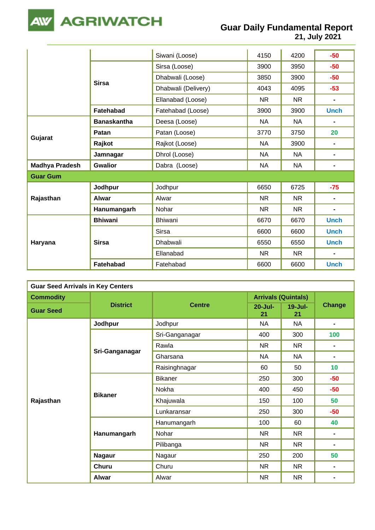

**Gujarat**

|                             |                           | 21, July 2021 |            |             |  |
|-----------------------------|---------------------------|---------------|------------|-------------|--|
|                             |                           |               |            |             |  |
|                             | Siwani (Loose)            | 4150          | 4200       | $-50$       |  |
| <b>Sirsa</b>                | Sirsa (Loose)             | 3900          | 3950       | $-50$       |  |
|                             | Dhabwali (Loose)          | 3850          | 3900       | $-50$       |  |
|                             | Dhabwali (Delivery)       | 4043          | 4095       | $-53$       |  |
|                             | Ellanabad (Loose)         | NR.           | NR.        |             |  |
| Fatehabad                   | Fatehabad (Loose)         | 3900          | 3900       | <b>Unch</b> |  |
| <b>Banaskantha</b>          | Deesa (Loose)             | NA            | <b>NA</b>  |             |  |
| Patan                       | Patan (Loose)             | 3770          | 3750       | 20          |  |
| Rajkot                      | Rajkot (Loose)            | <b>NA</b>     | 3900       |             |  |
| Jamnagar                    | Dhrol (Loose)             | <b>NA</b>     | <b>NA</b>  |             |  |
| $\sim$ $\sim$ $\sim$ $\sim$ | $D - L - L$ $(L - L - L)$ | <b>AIA</b>    | <b>AIA</b> |             |  |

|                       | Jamnagar         | Dhrol (Loose)   | <b>NA</b> | <b>NA</b> | $\blacksquare$ |
|-----------------------|------------------|-----------------|-----------|-----------|----------------|
| <b>Madhya Pradesh</b> | <b>Gwalior</b>   | Dabra (Loose)   | NA.       | <b>NA</b> | $\blacksquare$ |
| <b>Guar Gum</b>       |                  |                 |           |           |                |
| Rajasthan             | Jodhpur          | Jodhpur         | 6650      | 6725      | $-75$          |
|                       | <b>Alwar</b>     | Alwar           | NR.       | <b>NR</b> |                |
|                       | Hanumangarh      | Nohar           | NR.       | <b>NR</b> | $\blacksquare$ |
|                       | <b>Bhiwani</b>   | <b>Bhiwani</b>  | 6670      | 6670      | <b>Unch</b>    |
|                       |                  | <b>Sirsa</b>    | 6600      | 6600      | <b>Unch</b>    |
| Haryana               | <b>Sirsa</b>     | <b>Dhabwali</b> | 6550      | 6550      | <b>Unch</b>    |
|                       |                  | Ellanabad       | NR.       | <b>NR</b> | $\blacksquare$ |
|                       | <b>Fatehabad</b> | Fatehabad       | 6600      | 6600      | <b>Unch</b>    |

| <b>Guar Seed Arrivals in Key Centers</b> |                 |                |                            |                   |                |  |
|------------------------------------------|-----------------|----------------|----------------------------|-------------------|----------------|--|
| <b>Commodity</b>                         |                 |                | <b>Arrivals (Quintals)</b> |                   |                |  |
| <b>Guar Seed</b>                         | <b>District</b> | <b>Centre</b>  | $20 -$ Jul-<br>21          | $19 -$ Jul-<br>21 | <b>Change</b>  |  |
|                                          | Jodhpur         | Jodhpur        | <b>NA</b>                  | <b>NA</b>         | $\blacksquare$ |  |
|                                          |                 | Sri-Ganganagar | 400                        | 300               | 100            |  |
|                                          |                 | Rawla          | <b>NR</b>                  | NR.               | $\blacksquare$ |  |
|                                          | Sri-Ganganagar  | Gharsana       | <b>NA</b>                  | <b>NA</b>         | $\blacksquare$ |  |
|                                          |                 | Raisinghnagar  | 60                         | 50                | 10             |  |
|                                          |                 | <b>Bikaner</b> | 250                        | 300               | $-50$          |  |
|                                          | <b>Bikaner</b>  | Nokha          | 400                        | 450               | $-50$          |  |
| Rajasthan                                |                 | Khajuwala      | 150                        | 100               | 50             |  |
|                                          |                 | Lunkaransar    | 250                        | 300               | $-50$          |  |
|                                          |                 | Hanumangarh    | 100                        | 60                | 40             |  |
|                                          | Hanumangarh     | Nohar          | <b>NR</b>                  | NR.               | $\blacksquare$ |  |
|                                          |                 | Pilibanga      | <b>NR</b>                  | NR.               | $\blacksquare$ |  |
|                                          | <b>Nagaur</b>   | Nagaur         | 250                        | 200               | 50             |  |
|                                          | <b>Churu</b>    | Churu          | <b>NR</b>                  | NR.               | $\blacksquare$ |  |
|                                          | <b>Alwar</b>    | Alwar          | <b>NR</b>                  | <b>NR</b>         | ٠              |  |